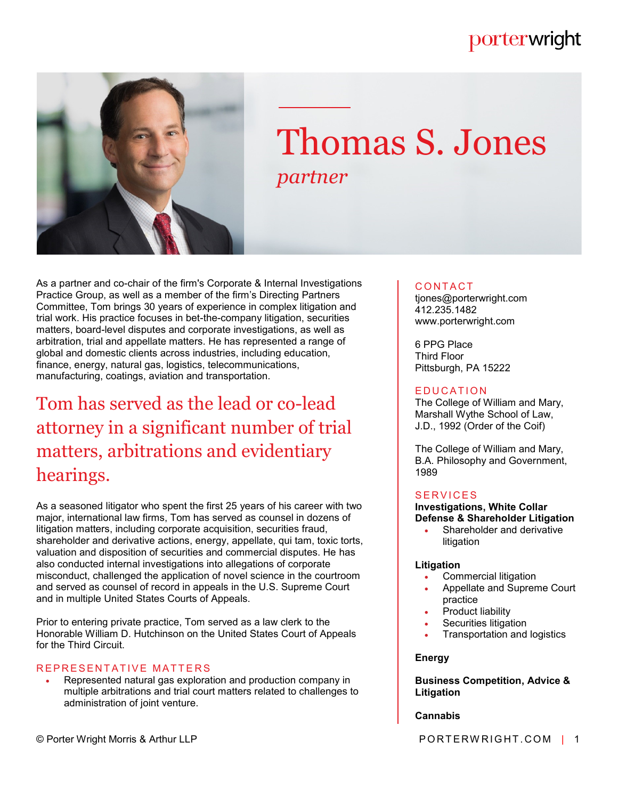# porterwright



# Thomas S. Jones *partner*

As a partner and co-chair of the firm's Corporate & Internal Investigations Practice Group, as well as a member of the firm's Directing Partners Committee, Tom brings 30 years of experience in complex litigation and trial work. His practice focuses in bet-the-company litigation, securities matters, board-level disputes and corporate investigations, as well as arbitration, trial and appellate matters. He has represented a range of global and domestic clients across industries, including education, finance, energy, natural gas, logistics, telecommunications, manufacturing, coatings, aviation and transportation.

# Tom has served as the lead or co-lead attorney in a significant number of trial matters, arbitrations and evidentiary hearings.

As a seasoned litigator who spent the first 25 years of his career with two major, international law firms, Tom has served as counsel in dozens of litigation matters, including corporate acquisition, securities fraud, shareholder and derivative actions, energy, appellate, qui tam, toxic torts, valuation and disposition of securities and commercial disputes. He has also conducted internal investigations into allegations of corporate misconduct, challenged the application of novel science in the courtroom and served as counsel of record in appeals in the U.S. Supreme Court and in multiple United States Courts of Appeals.

Prior to entering private practice, Tom served as a law clerk to the Honorable William D. Hutchinson on the United States Court of Appeals for the Third Circuit.

# REPRESENTATIVE MATTERS

 Represented natural gas exploration and production company in multiple arbitrations and trial court matters related to challenges to administration of joint venture.

# **CONTACT**

tjones@porterwright.com 412.235.1482 www.porterwright.com

6 PPG Place Third Floor Pittsburgh, PA 15222

#### **E DUCATION**

The College of William and Mary, Marshall Wythe School of Law, J.D., 1992 (Order of the Coif)

The College of William and Mary, B.A. Philosophy and Government, 1989

#### **SERVICES**

**Investigations, White Collar Defense & Shareholder Litigation**

 Shareholder and derivative litigation

#### **Litigation**

- Commercial litigation
- Appellate and Supreme Court practice
- Product liability
- Securities litigation
- Transportation and logistics

#### **Energy**

#### **Business Competition, Advice & Litigation**

#### **Cannabis**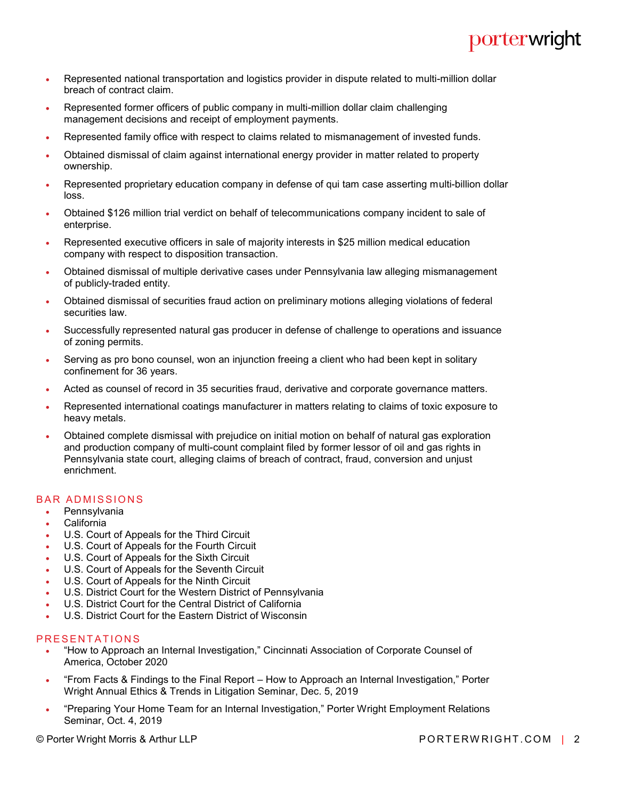- Represented national transportation and logistics provider in dispute related to multi-million dollar breach of contract claim.
- Represented former officers of public company in multi-million dollar claim challenging management decisions and receipt of employment payments.
- Represented family office with respect to claims related to mismanagement of invested funds.
- Obtained dismissal of claim against international energy provider in matter related to property ownership.
- Represented proprietary education company in defense of qui tam case asserting multi-billion dollar loss.
- Obtained \$126 million trial verdict on behalf of telecommunications company incident to sale of enterprise.
- Represented executive officers in sale of majority interests in \$25 million medical education company with respect to disposition transaction.
- Obtained dismissal of multiple derivative cases under Pennsylvania law alleging mismanagement of publicly-traded entity.
- Obtained dismissal of securities fraud action on preliminary motions alleging violations of federal securities law.
- Successfully represented natural gas producer in defense of challenge to operations and issuance of zoning permits.
- Serving as pro bono counsel, won an injunction freeing a client who had been kept in solitary confinement for 36 years.
- Acted as counsel of record in 35 securities fraud, derivative and corporate governance matters.
- Represented international coatings manufacturer in matters relating to claims of toxic exposure to heavy metals.
- Obtained complete dismissal with prejudice on initial motion on behalf of natural gas exploration and production company of multi-count complaint filed by former lessor of oil and gas rights in Pennsylvania state court, alleging claims of breach of contract, fraud, conversion and unjust enrichment.

## **BAR ADMISSIONS**

- Pennsylvania
- California
- U.S. Court of Appeals for the Third Circuit
- U.S. Court of Appeals for the Fourth Circuit
- U.S. Court of Appeals for the Sixth Circuit
- U.S. Court of Appeals for the Seventh Circuit
- U.S. Court of Appeals for the Ninth Circuit
- U.S. District Court for the Western District of Pennsylvania
- U.S. District Court for the Central District of California
- U.S. District Court for the Eastern District of Wisconsin

#### PRESENTATIONS

- "How to Approach an Internal Investigation," Cincinnati Association of Corporate Counsel of America, October 2020
- "From Facts & Findings to the Final Report How to Approach an Internal Investigation," Porter Wright Annual Ethics & Trends in Litigation Seminar, Dec. 5, 2019
- "Preparing Your Home Team for an Internal Investigation," Porter Wright Employment Relations Seminar, Oct. 4, 2019